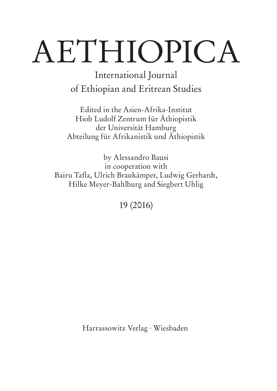# AETHIOPICA

International Journal of Ethiopian and Eritrean Studies

Edited in the Asien-Afrika-Institut Hiob Ludolf Zentrum für Äthiopistik der Universität Hamburg Abteilung für Afrikanistik und Äthiopistik

by Alessandro Bausi in cooperation with Bairu Tafla, Ulrich Braukämper, Ludwig Gerhardt, Hilke Meyer-Bahlburg and Siegbert Uhlig

19 (2016)

Harrassowitz Verlag · Wiesbaden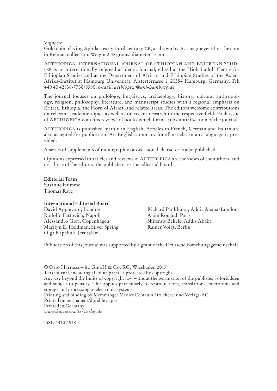Vignette:

Gold coin of King Aphilas, early third century CE, as drawn by A. Luegmeyer after the coin in Rennau collection. Weight 2.48 grams, diameter 17mm.

Aethiopica. International Journal of Ethiopian and Eritrean Stud-IES is an internationally refereed academic journal, edited at the Hiob Ludolf Centre for Ethiopian Studies and at the Department of African and Ethiopian Studies of the Asien-Afrika-Institut at Hamburg Universität, Alsterterrasse 1, 20354 Hamburg, Germany, Tel: +49 40 42838-7730/8380; e-mail: *aethiopica@uni-hamburg.de*

The journal focuses on philology, linguistics, archaeology, history, cultural anthropology, religion, philosophy, literature, and manuscript studies with a regional emphasis on Eritrea, Ethiopia, the Horn of Africa, and related areas. The editors welcome contributions on relevant academic topics as well as on recent research in the respective field. Each issue of Aethiopica contains reviews of books which form a substantial section of the journal.

Aethiopica is published mainly in English. Articles in French, German and Italian are also accepted for publication. An English summary for all articles in any language is provided.

A series of supplements of monographic or occasional character is also published.

Opinions expressed in articles and reviews in Aethiopica are the views of the authors, and not those of the editors, the publishers or the editorial board.

**Editorial Team** Susanne Hummel Thomas Rave

#### **International Editorial Board**

Rodolfo Fattovich, Napoli Alain Rouaud, Paris Alessandro Gori, Copenhagen Marilyn E. Heldman, Silver Spring Rainer Voigt, Berlin Olga Kapeliuk, Jerusalem

David Appleyard, London Richard Pankhurst, Addis Ababa/London

Publication of this journal was supported by a grant of the Deutsche Forschungsgemeinschaft.

© Otto Harrassowitz GmbH & Co. KG, Wiesbaden 2017 This journal, including all of its parts, is protected by copyright. Any use beyond the limits of copyright law without the permission of the publisher is forbidden and subject to penalty. This applies particularly to reproductions, translations, microfilms and storage and processing in electronic systems. Printing and binding by Memminger MedienCentrum Druckerei und Verlags-AG Printed on permanent/durable paper Printed in Germany *www.harrassowitz-verlag.de*

ISSN 1430-1938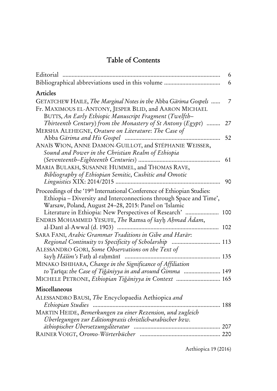# **Table of Contents**

| Editorial<br>                                                                                                                                                                                          | 6<br>6 |
|--------------------------------------------------------------------------------------------------------------------------------------------------------------------------------------------------------|--------|
| Articles                                                                                                                                                                                               |        |
| GETATCHEW HAILE, The Marginal Notes in the Abba Gärima Gospels<br>Fr. MAXIMOUS EL-ANTONY, JESPER BLID, and AARON MICHAEL<br>BUTTS, An Early Ethiopic Manuscript Fragment (Twelfth-                     | 7      |
| Thirteenth Century) from the Monastery of St Antony $(Eg$ ypt)<br>MERSHA ALEHEGNE, Orature on Literature: The Case of                                                                                  | 27     |
| ANAÏS WION, ANNE DAMON-GUILLOT, and STÉPHANIE WEISSER,<br>Sound and Power in the Christian Realm of Ethiopia                                                                                           | 52     |
| MARIA BULAKH, SUSANNE HUMMEL, and THOMAS RAVE,<br>Bibliography of Ethiopian Semitic, Cushitic and Omotic                                                                                               | 61     |
| Proceedings of the '19th International Conference of Ethiopian Studies:<br>Ethiopia - Diversity and Interconnections through Space and Time',<br>Warsaw, Poland, August 24-28, 2015: Panel on 'Islamic | 90     |
| Literature in Ethiopia: New Perspectives of Research'  100<br>ENDRIS MOHAMMED YESUFE, The Ramsa of šayh Ahmad Adam,                                                                                    |        |
| al-Danī al-Awwal (d. 1903)<br>102<br>SARA FANI, Arabic Grammar Traditions in Gibe and Harär:                                                                                                           |        |
| Regional Continuity vs Specificity of Scholarship  113<br>ALESSANDRO GORI, Some Observations on the Text of                                                                                            |        |
| šayh Hāšim's Fath al-raḥmānī<br>135<br>MINAKO ISHIHARA, Change in the Significance of Affiliation                                                                                                      |        |
| to Tarīqa: the Case of Tiğāniyya in and around Gimma  149<br>MICHELE PETRONE, Ethiopian Tiğāniyya in Context  165                                                                                      |        |
| Miscellaneous                                                                                                                                                                                          |        |
| ALESSANDRO BAUSI, The Encyclopaedia Aethiopica and<br>188<br>MARTIN HEIDE, Bemerkungen zu einer Rezension, und zugleich                                                                                |        |
| Überlegungen zur Editionspraxis christlich-arabischer bzw.                                                                                                                                             |        |
|                                                                                                                                                                                                        |        |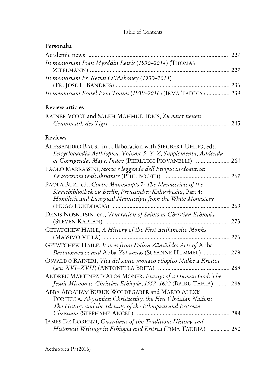## Table of Contents

# **Personalia**

| Academic news                                                                                                                                                                                                       | 227 |
|---------------------------------------------------------------------------------------------------------------------------------------------------------------------------------------------------------------------|-----|
| In memoriam Ioan Myrddin Lewis (1930-2014) (THOMAS                                                                                                                                                                  |     |
| ZITELMANN)                                                                                                                                                                                                          |     |
| In memoriam Fr. Kevin O'Mahoney (1930-2015)                                                                                                                                                                         |     |
| In memoriam Fratel Ezio Tonini (1939-2016) (IRMA TADDIA)  239                                                                                                                                                       |     |
|                                                                                                                                                                                                                     |     |
| <b>Review articles</b>                                                                                                                                                                                              |     |
| RAINER VOIGT and SALEH MAHMUD IDRIS, Zu einer neuen                                                                                                                                                                 | 245 |
| <b>Reviews</b>                                                                                                                                                                                                      |     |
| ALESSANDRO BAUSI, in collaboration with SIEGBERT UHLIG, eds,<br>Encyclopaedia Aethiopica. Volume 5: Y-Z, Supplementa, Addenda<br>et Corrigenda, Maps, Index (PIERLUIGI PIOVANELLI)  264                             |     |
| PAOLO MARRASSINI, Storia e leggenda dell'Etiopia tardoantica:<br>.                                                                                                                                                  | 267 |
| PAOLA BUZI, ed., Coptic Manuscripts 7: The Manuscripts of the<br>Staatsbibliothek zu Berlin, Preussischer Kulturbesitz, Part 4:<br>Homiletic and Liturgical Manuscripts from the White Monastery<br>(HUGO LUNDHAUG) | 269 |
| DENIS NOSNITSIN, ed., Veneration of Saints in Christian Ethiopia<br>(STEVEN KAPLAN)                                                                                                                                 | 273 |
| GETATCHEW HAILE, A History of the First Astifanosite Monks<br>(MASSIMO VILLA)                                                                                                                                       | 276 |
| GETATCHEW HAILE, Voices from Däbrä Zämäddo: Acts of Abba<br>Bärtälomewos and Abba Yohannas (SUSANNE HUMMEL)                                                                                                         | 279 |
| OSVALDO RAINERI, Vita del santo monaco etiopico Mälke <sup>°</sup> a Krestos                                                                                                                                        | 283 |
| ANDREU MARTINEZ D'ALÒS-MONER, Envoys of a Human God: The<br>Jesuit Mission to Christian Ethiopia, 1557-1632 (BAIRU TAFLA)  286                                                                                      |     |
| ABBA ABRAHAM BURUK WOLDEGABER and MARIO ALEXIS<br>PORTELLA, Abyssinian Christianity, the First Christian Nation?<br>The History and the Identity of the Ethiopian and Eritrean<br>288                               |     |
| JAMES DE LORENZI, Guardians of the Tradition: History and                                                                                                                                                           |     |
| Historical Writings in Ethiopia and Eritrea (IRMA TADDIA)  290                                                                                                                                                      |     |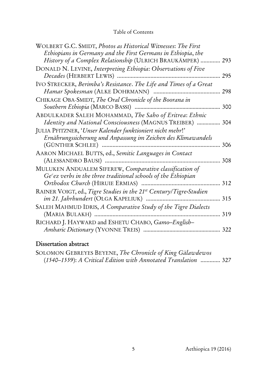## Table of Contents

| WOLBERT G.C. SMIDT, Photos as Historical Witnesses: The First<br>Ethiopians in Germany and the First Germans in Ethiopia, the |     |
|-------------------------------------------------------------------------------------------------------------------------------|-----|
| History of a Complex Relationship (ULRICH BRAUKÄMPER)                                                                         | 293 |
| DONALD N. LEVINE, Interpreting Ethiopia: Observations of Five                                                                 |     |
| Decades (HERBERT LEWIS)                                                                                                       | 295 |
| IVO STRECKER, Berimba's Resistance. The Life and Times of a Great                                                             |     |
| Hamar Spokesman (ALKE DOHRMANN)                                                                                               | 298 |
| CHIKAGE OBA-SMIDT, The Oral Chronicle of the Boorana in                                                                       |     |
| Southern Ethiopia (MARCO BASSI)                                                                                               | 300 |
| ABDULKADER SALEH MOHAMMAD, The Saho of Eritrea: Ethnic                                                                        |     |
| Identity and National Consciousness (MAGNUS TREIBER)                                                                          | 304 |
| JULIA PFITZNER, 'Unser Kalender funktioniert nicht mehr!'                                                                     |     |
| Ernährungssicherung und Anpassung im Zeichen des Klimawandels                                                                 |     |
| (GÜNTHER SCHLEE)                                                                                                              | 306 |
| AARON MICHAEL BUTTS, ed., Semitic Languages in Contact                                                                        |     |
| (ALESSANDRO BAUSI)                                                                                                            | 308 |
| MULUKEN ANDUALEM SIFEREW, Comparative classification of                                                                       |     |
| $Gecez$ verbs in the three traditional schools of the Ethiopian                                                               |     |
| Orthodox Church (HIRUIE ERMIAS)                                                                                               | 312 |
| RAINER VOIGT, ed., Tigre Studies in the 21st Century/Tigre-Studien                                                            |     |
| im 21. Jahrhundert (OLGA KAPELIUK)                                                                                            | 315 |
| SALEH MAHMUD IDRIS, A Comparative Study of the Tigre Dialects                                                                 |     |
| (MARIA BULAKH)                                                                                                                | 319 |
| RICHARD J. HAYWARD and ESHETU CHABO, Gamo-English-                                                                            |     |
|                                                                                                                               | 322 |
|                                                                                                                               |     |

# **Dissertation abstract**

| SOLOMON GEBREYES BEYENE, The Chronicle of King Gälawdewos       |  |
|-----------------------------------------------------------------|--|
| (1540–1559): A Critical Edition with Annotated Translation  327 |  |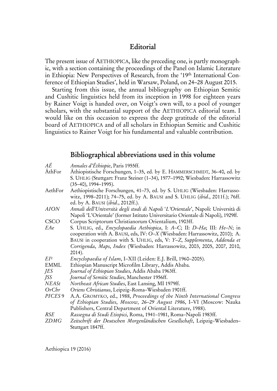## **Editorial**

The present issue of AETHIOPICA, like the preceding one, is partly monographic, with a section containing the proceedings of the Panel on Islamic Literature in Ethiopia: New Perspectives of Research, from the '19th International Conference of Ethiopian Studies', held in Warsaw, Poland, on 24–28 August 2015.

Starting from this issue, the annual bibliography on Ethiopian Semitic and Cushitic linguistics held from its inception in 1998 for eighteen years by Rainer Voigt is handed over, on Voigt's own will, to a pool of younger scholars, with the substantial support of the AETHIOPICA editorial team. I would like on this occasion to express the deep gratitude of the editorial board of AETHIOPICA and of all scholars in Ethiopian Semitic and Cushitic linguistics to Rainer Voigt for his fundamental and valuable contribution.

## **Bibliographical abbreviations used in this volume**

| АÉ                 | Annales d'Éthiopie, Paris 1955ff.                                                 |
|--------------------|-----------------------------------------------------------------------------------|
| ÄthFor             | Äthiopistische Forschungen, 1-35, ed. by E. HAMMERSCHMIDT, 36-40, ed. by          |
|                    | S. UHLIG (Stuttgart: Franz Steiner (1-34), 1977-1992; Wiesbaden: Harrassowitz     |
|                    | $(35-40), 1994-1995).$                                                            |
| AethFor            | Aethiopistische Forschungen, 41-73, ed. by S. UHLIG (Wiesbaden: Harrasso-         |
|                    | witz, 1998-2011); 74-75, ed. by A. BAUSI and S. UHLIG (ibid., 2011f.); 76ff.      |
|                    | ed. by A. BAUSI (ibid., 2012ff.).                                                 |
| <i>AION</i>        | Annali dell'Università degli studi di Napoli 'L'Orientale', Napoli: Università di |
|                    | Napoli 'L'Orientale' (former Istituto Universitario Orientale di Napoli), 1929ff. |
| CSCO               | Corpus Scriptorum Christianorum Orientalium, 1903ff.                              |
| EAe                | S. UHLIG, ed., Encyclopaedia Aethiopica, I: A-C; II: D-Ha; III: He-N; in          |
|                    | cooperation with A. BAUSI, eds, IV: O-X (Wiesbaden: Harrassowitz, 2010); A.       |
|                    | BAUSI in cooperation with S. UHLIG, eds, V: Y-Z, Supplementa, Addenda et          |
|                    | Corrigenda, Maps, Index (Wiesbaden: Harrassowitz, 2003, 2005, 2007, 2010,         |
|                    | $2014$ ).                                                                         |
| EI <sup>2</sup>    | Encyclopaedia of Islam, I-XII (Leiden: E.J. Brill, 1960–2005).                    |
| <b>EMML</b>        | Ethiopian Manuscript Microfilm Library, Addis Ababa.                              |
| JES                | Journal of Ethiopian Studies, Addis Ababa 1963ff.                                 |
| <i>ISS</i>         | Journal of Semitic Studies, Manchester 1956ff.                                    |
| NEASt              | Northeast African Studies, East Lansing, MI 1979ff.                               |
| OrCbr              | Oriens Christianus, Leipzig-Roma-Wiesbaden 1901ff.                                |
| PICES <sub>9</sub> | A.A. GROMYKO, ed., 1988, Proceedings of the Ninth International Congress          |
|                    | of Ethiopian Studies, Moscow, 26-29 August 1986, I-VI (Moscow: Nauka              |
|                    | Publishers, Central Department of Oriental Literature, 1988).                     |
| RSE                | Rassegna di Studi Etiopici, Roma, 1941-1981, Roma-Napoli 1983ff.                  |
| <b>ZDMG</b>        | Zeitschrift der Deutschen Morgenländischen Gesellschaft, Leipzig-Wiesbaden-       |
|                    | Stuttgart 1847ff.                                                                 |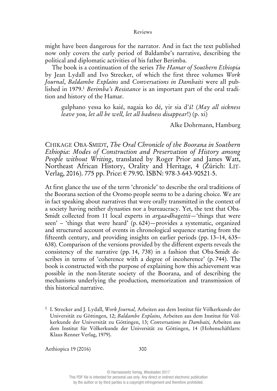might have been dangerous for the narrator. And in fact the text published now only covers the early period of Baldambe's narrative, describing the political and diplomatic activities of his father Berimba.

The book is a continuation of the series *The Hamar of Southern Ethiopia* by Jean Lydall and Ivo Strecker, of which the first three volumes *Work Journal*, *Baldambe Explains* and *Conversations in Dambaiti* were all published in 1979.1 *Berimba's Resistance* is an important part of the oral tradition and history of the Hamar.

gulphano yessa ko kaié, nagaia ko dé, yir sia d'á! (*May all sickness leave you, let all be well, let all badness disappear*!) (p. xi)

Alke Dohrmann, Hamburg

CHIKAGE OBA-SMIDT, *The Oral Chronicle of the Boorana in Southern Ethiopia*: *Modes of Construction and Preservation of History among People without Writing*, translated by Roger Prior and James Watt, Northeast African History, Orality and Heritage, 4 (Zürich: LIT-Verlag, 2016). 775 pp. Price: € 79.90. ISBN: 978-3-643-90521-5.

At first glance the use of the term 'chronicle' to describe the oral traditions of the Boorana section of the Oromo people seems to be a daring choice. We are in fact speaking about narratives that were orally transmitted in the context of a society having neither dynasties nor a bureaucracy. Yet, the text that Oba-Smidt collected from 11 local experts in *argaa-dhagettii*—'things that were seen' – 'things that were heard' (p. 624)—provides a systematic, organized and structured account of events in chronological sequence starting from the fifteenth century, and providing insights on earlier periods (pp. 13–14, 635– 638). Comparison of the versions provided by the different experts reveals the consistency of the narrative (pp. 14, 738) in a fashion that Oba-Smidt describes in terms of 'coherence with a degree of incoherence' (p. 744). The book is constructed with the purpose of explaining how this achievement was possible in the non-literate society of the Boorana, and of describing the mechanisms underlying the production, memorization and transmission of this historical narrative.

1 I. Strecker and J. Lydall, *Work Journal,* Arbeiten aus dem Institut für Völkerkunde der Universität zu Göttingen, 12; *Baldambe Explains,* Arbeiten aus dem Institut für Völkerkunde der Universität zu Göttingen, 13; *Conversations in Dambaiti,* Arbeiten aus dem Institut für Völkerkunde der Universität zu Göttingen, 14 (Hohenschäftlarn: Klaus Renner Verlag, 1979).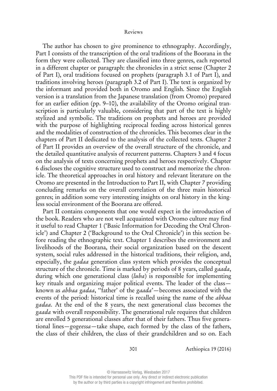The author has chosen to give prominence to ethnography. Accordingly, Part I consists of the transcription of the oral traditions of the Boorana in the form they were collected. They are classified into three genres, each reported in a different chapter or paragraph: the chronicles in a strict sense (Chapter 2 of Part I), oral traditions focused on prophets (paragraph 3.1 of Part I), and traditions involving heroes (paragraph 3.2 of Part I). The text is organized by the informant and provided both in Oromo and English. Since the English version is a translation from the Japanese translation (from Oromo) prepared for an earlier edition (pp. 9–10), the availability of the Oromo original transcription is particularly valuable, considering that part of the text is highly stylized and symbolic. The traditions on prophets and heroes are provided with the purpose of highlighting reciprocal feeding across historical genres and the modalities of construction of the chronicles. This becomes clear in the chapters of Part II dedicated to the analysis of the collected texts. Chapter 2 of Part II provides an overview of the overall structure of the chronicle, and the detailed quantitative analysis of recurrent patterns. Chapters 3 and 4 focus on the analysis of texts concerning prophets and heroes respectively. Chapter 6 discloses the cognitive structure used to construct and memorize the chronicle. The theoretical approaches in oral history and relevant literature on the Oromo are presented in the Introduction to Part II, with Chapter 7 providing concluding remarks on the overall correlation of the three main historical genres; in addition some very interesting insights on oral history in the kingless social environment of the Boorana are offered.

Part II contains components that one would expect in the introduction of the book. Readers who are not well acquainted with Oromo culture may find it useful to read Chapter 1 ('Basic Information for Decoding the Oral Chronicle') and Chapter 2 ('Background to the Oral Chronicle') in this section before reading the ethnographic text. Chapter 1 describes the environment and livelihoods of the Boorana, their social organization based on the descent system, social rules addressed in the historical traditions, their religion, and, especially, the *gadaa* generation class system which provides the conceptual structure of the chronicle. Time is marked by periods of 8 years, called *gaada*, during which one generational class (*luba*) is responsible for implementing key rituals and organizing major political events. The leader of the class known as *abbaa gadaa*, ''father' of the *gaada*'—becomes associated with the events of the period: historical time is recalled using the name of the *abbaa gadaa*. At the end of the 8 years, the next generational class becomes the *gaada* with overall responsibility. The generational rule requires that children are enrolled 5 generational classes after that of their fathers. Thus five generational lines—*gogeessa*—take shape, each formed by the class of the fathers, the class of their children, the class of their grandchildren and so on. Each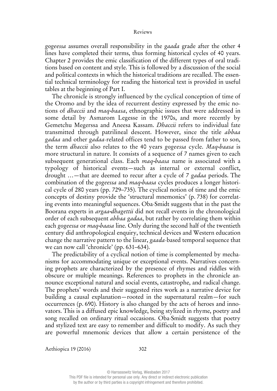*gogeessa* assumes overall responsibility in the *gaada* grade after the other 4 lines have completed their terms, thus forming historical cycles of 40 years. Chapter 2 provides the emic classification of the different types of oral traditions based on content and style. This is followed by a discussion of the social and political contexts in which the historical traditions are recalled. The essential technical terminology for reading the historical text is provided in useful tables at the beginning of Part I.

The chronicle is strongly influenced by the cyclical conception of time of the Oromo and by the idea of recurrent destiny expressed by the emic notions of *dhaccii* and *maq-baasa*, ethnographic issues that were addressed in some detail by Asmarom Legesse in the 1970s, and more recently by Gemetchu Megerssa and Aneesa Kassam. *Dhaccii* refers to individual fate transmitted through patrilineal descent. However, since the title *abbaa gadaa* and other *gadaa*-related offices tend to be passed from father to son, the term *dhaccii* also relates to the 40 years *gogeessa* cycle. *Maq-baasa* is more structural in nature. It consists of a sequence of 7 names given to each subsequent generational class. Each *maq-baasa* name is associated with a typology of historical events—such as internal or external conflict, drought …—that are deemed to recur after a cycle of 7 *gadaa* periods. The combination of the *gogeessa* and *maq-baasa* cycles produces a longer historical cycle of 280 years (pp. 729–735). The cyclical notion of time and the emic concepts of destiny provide the 'structural mnemonics' (p. 738) for correlating events into meaningful sequences. Oba-Smidt suggests that in the past the Boorana experts in *argaa-dhagettii* did not recall events in the chronological order of each subsequent *abbaa gadaa*, but rather by correlating them within each *gogeessa* or *maq-baasa* line. Only during the second half of the twentieth century did anthropological enquiry, technical devices and Western education change the narrative pattern to the linear, *gaada*-based temporal sequence that we can now call 'chronicle' (pp. 631–634).

The predictability of a cyclical notion of time is complemented by mechanisms for accommodating unique or exceptional events. Narratives concerning prophets are characterized by the presence of rhymes and riddles with obscure or multiple meanings. References to prophets in the chronicle announce exceptional natural and social events, catastrophe, and radical change. The prophets' words and their suggested rites work as a narrative device for building a causal explanation—rooted in the supernatural realm—for such occurrences (p. 690). History is also changed by the acts of heroes and innovators. This is a diffused epic knowledge, being stylized in rhyme, poetry and song recalled on ordinary ritual occasions. Oba-Smidt suggests that poetry and stylized text are easy to remember and difficult to modify. As such they are powerful mnemonic devices that allow a certain persistence of the